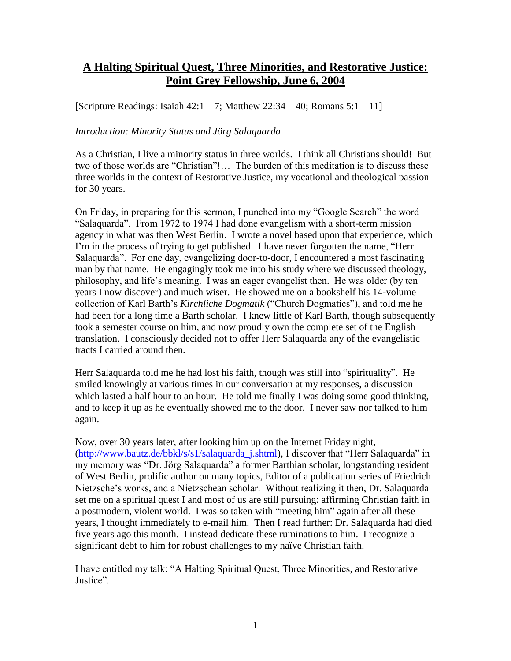# **A Halting Spiritual Quest, Three Minorities, and Restorative Justice: Point Grey Fellowship, June 6, 2004**

[Scripture Readings: Isaiah  $42:1 - 7$ ; Matthew  $22:34 - 40$ ; Romans  $5:1 - 11$ ]

#### *Introduction: Minority Status and Jörg Salaquarda*

As a Christian, I live a minority status in three worlds. I think all Christians should! But two of those worlds are "Christian"!… The burden of this meditation is to discuss these three worlds in the context of Restorative Justice, my vocational and theological passion for 30 years.

On Friday, in preparing for this sermon, I punched into my "Google Search" the word "Salaquarda". From 1972 to 1974 I had done evangelism with a short-term mission agency in what was then West Berlin. I wrote a novel based upon that experience, which I'm in the process of trying to get published. I have never forgotten the name, "Herr Salaquarda". For one day, evangelizing door-to-door, I encountered a most fascinating man by that name. He engagingly took me into his study where we discussed theology, philosophy, and life's meaning. I was an eager evangelist then. He was older (by ten years I now discover) and much wiser. He showed me on a bookshelf his 14-volume collection of Karl Barth's *Kirchliche Dogmatik* ("Church Dogmatics"), and told me he had been for a long time a Barth scholar. I knew little of Karl Barth, though subsequently took a semester course on him, and now proudly own the complete set of the English translation. I consciously decided not to offer Herr Salaquarda any of the evangelistic tracts I carried around then.

Herr Salaquarda told me he had lost his faith, though was still into "spirituality". He smiled knowingly at various times in our conversation at my responses, a discussion which lasted a half hour to an hour. He told me finally I was doing some good thinking, and to keep it up as he eventually showed me to the door. I never saw nor talked to him again.

Now, over 30 years later, after looking him up on the Internet Friday night, [\(http://www.bautz.de/bbkl/s/s1/salaquarda\\_j.shtml\)](http://www.bautz.de/bbkl/s/s1/salaquarda_j.shtml), I discover that "Herr Salaquarda" in my memory was "Dr. Jörg Salaquarda" a former Barthian scholar, longstanding resident of West Berlin, prolific author on many topics, Editor of a publication series of Friedrich Nietzsche's works, and a Nietzschean scholar. Without realizing it then, Dr. Salaquarda set me on a spiritual quest I and most of us are still pursuing: affirming Christian faith in a postmodern, violent world. I was so taken with "meeting him" again after all these years, I thought immediately to e-mail him. Then I read further: Dr. Salaquarda had died five years ago this month. I instead dedicate these ruminations to him. I recognize a significant debt to him for robust challenges to my naïve Christian faith.

I have entitled my talk: "A Halting Spiritual Quest, Three Minorities, and Restorative Justice".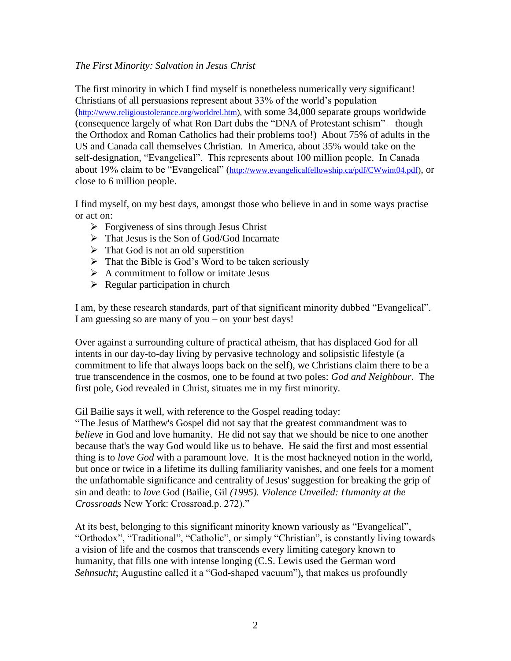### *The First Minority: Salvation in Jesus Christ*

The first minority in which I find myself is nonetheless numerically very significant! Christians of all persuasions represent about 33% of the world's population ([http://www.religioustolerance.org/worldrel.htm\)](http://www.religioustolerance.org/worldrel.htm), with some 34,000 separate groups worldwide (consequence largely of what Ron Dart dubs the "DNA of Protestant schism" – though the Orthodox and Roman Catholics had their problems too!) About 75% of adults in the US and Canada call themselves Christian. In America, about 35% would take on the self-designation, "Evangelical". This represents about 100 million people. In Canada about 19% claim to be "Evangelical" ([http://www.evangelicalfellowship.ca/pdf/CWwint04.pdf\)](http://www.evangelicalfellowship.ca/pdf/CWwint04.pdf), or close to 6 million people.

I find myself, on my best days, amongst those who believe in and in some ways practise or act on:

- $\triangleright$  Forgiveness of sins through Jesus Christ
- $\triangleright$  That Jesus is the Son of God/God Incarnate
- $\triangleright$  That God is not an old superstition
- $\triangleright$  That the Bible is God's Word to be taken seriously
- $\triangleright$  A commitment to follow or imitate Jesus
- $\triangleright$  Regular participation in church

I am, by these research standards, part of that significant minority dubbed "Evangelical". I am guessing so are many of you – on your best days!

Over against a surrounding culture of practical atheism, that has displaced God for all intents in our day-to-day living by pervasive technology and solipsistic lifestyle (a commitment to life that always loops back on the self), we Christians claim there to be a true transcendence in the cosmos, one to be found at two poles: *God and Neighbour*. The first pole, God revealed in Christ, situates me in my first minority.

Gil Bailie says it well, with reference to the Gospel reading today:

"The Jesus of Matthew's Gospel did not say that the greatest commandment was to *believe* in God and love humanity. He did not say that we should be nice to one another because that's the way God would like us to behave. He said the first and most essential thing is to *love God* with a paramount love. It is the most hackneyed notion in the world, but once or twice in a lifetime its dulling familiarity vanishes, and one feels for a moment the unfathomable significance and centrality of Jesus' suggestion for breaking the grip of sin and death: to *love* God (Bailie, Gil *(1995). Violence Unveiled: Humanity at the Crossroads* New York: Crossroad.p. 272)."

At its best, belonging to this significant minority known variously as "Evangelical", "Orthodox", "Traditional", "Catholic", or simply "Christian", is constantly living towards a vision of life and the cosmos that transcends every limiting category known to humanity, that fills one with intense longing (C.S. Lewis used the German word *Sehnsucht*; Augustine called it a "God-shaped vacuum"), that makes us profoundly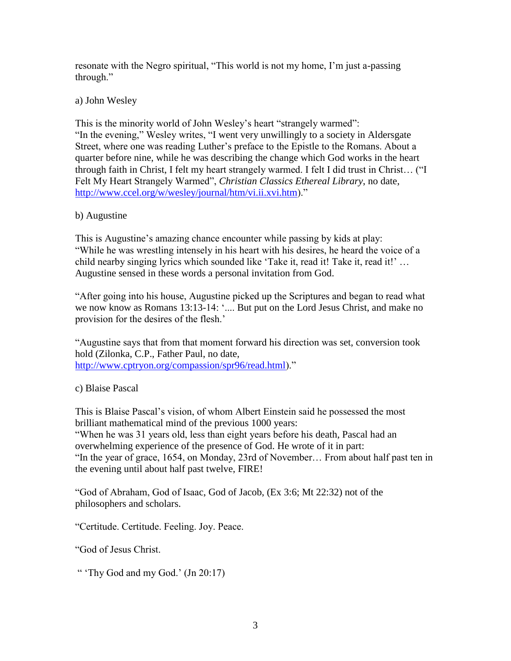resonate with the Negro spiritual, "This world is not my home, I'm just a-passing through."

a) John Wesley

This is the minority world of John Wesley's heart "strangely warmed": "In the evening," Wesley writes, "I went very unwillingly to a society in Aldersgate Street, where one was reading Luther's preface to the Epistle to the Romans. About a quarter before nine, while he was describing the change which God works in the heart through faith in Christ, I felt my heart strangely warmed. I felt I did trust in Christ… ("I Felt My Heart Strangely Warmed", *Christian Classics Ethereal Library*, no date, [http://www.ccel.org/w/wesley/journal/htm/vi.ii.xvi.htm\)](http://www.ccel.org/w/wesley/journal/htm/vi.ii.xvi.htm)."

b) Augustine

This is Augustine's amazing chance encounter while passing by kids at play: "While he was wrestling intensely in his heart with his desires, he heard the voice of a child nearby singing lyrics which sounded like 'Take it, read it! Take it, read it!' … Augustine sensed in these words a personal invitation from God.

"After going into his house, Augustine picked up the Scriptures and began to read what we now know as Romans 13:13-14: '.... But put on the Lord Jesus Christ, and make no provision for the desires of the flesh.'

"Augustine says that from that moment forward his direction was set, conversion took hold (Zilonka, C.P., Father Paul, no date, [http://www.cptryon.org/compassion/spr96/read.html\)](http://www.cptryon.org/compassion/spr96/read.html)."

c) Blaise Pascal

This is Blaise Pascal's vision, of whom Albert Einstein said he possessed the most brilliant mathematical mind of the previous 1000 years:

"When he was 31 years old, less than eight years before his death, Pascal had an overwhelming experience of the presence of God. He wrote of it in part: "In the year of grace, 1654, on Monday, 23rd of November… From about half past ten in the evening until about half past twelve, FIRE!

"God of Abraham, God of Isaac, God of Jacob, (Ex 3:6; Mt 22:32) not of the philosophers and scholars.

"Certitude. Certitude. Feeling. Joy. Peace.

"God of Jesus Christ.

" 'Thy God and my God.' (Jn 20:17)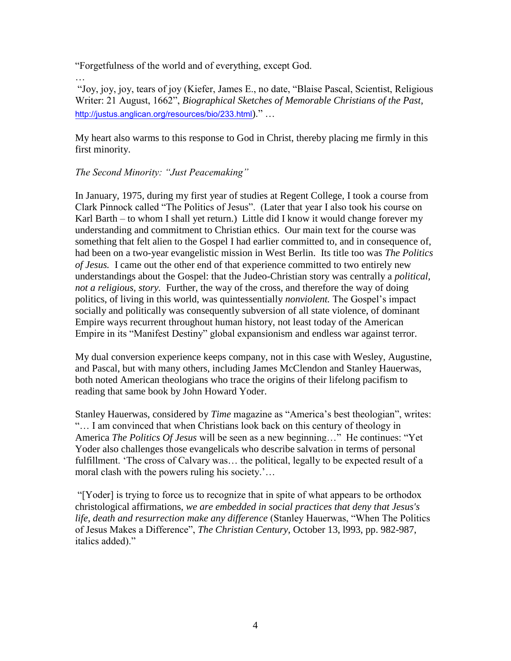"Forgetfulness of the world and of everything, except God.

… "Joy, joy, joy, tears of joy (Kiefer, James E., no date, "Blaise Pascal, Scientist, Religious Writer: 21 August, 1662", *Biographical Sketches of Memorable Christians of the Past*, <http://justus.anglican.org/resources/bio/233.html>)." …

My heart also warms to this response to God in Christ, thereby placing me firmly in this first minority.

# *The Second Minority: "Just Peacemaking"*

In January, 1975, during my first year of studies at Regent College, I took a course from Clark Pinnock called "The Politics of Jesus". (Later that year I also took his course on Karl Barth – to whom I shall yet return.) Little did I know it would change forever my understanding and commitment to Christian ethics. Our main text for the course was something that felt alien to the Gospel I had earlier committed to, and in consequence of, had been on a two-year evangelistic mission in West Berlin. Its title too was *The Politics of Jesus.* I came out the other end of that experience committed to two entirely new understandings about the Gospel: that the Judeo-Christian story was centrally a *political, not a religious, story.* Further, the way of the cross, and therefore the way of doing politics, of living in this world, was quintessentially *nonviolent.* The Gospel's impact socially and politically was consequently subversion of all state violence, of dominant Empire ways recurrent throughout human history, not least today of the American Empire in its "Manifest Destiny" global expansionism and endless war against terror.

My dual conversion experience keeps company, not in this case with Wesley, Augustine, and Pascal, but with many others, including James McClendon and Stanley Hauerwas, both noted American theologians who trace the origins of their lifelong pacifism to reading that same book by John Howard Yoder.

Stanley Hauerwas, considered by *Time* magazine as "America's best theologian", writes: "… I am convinced that when Christians look back on this century of theology in America *The Politics Of Jesus* will be seen as a new beginning…" He continues: "Yet Yoder also challenges those evangelicals who describe salvation in terms of personal fulfillment. 'The cross of Calvary was… the political, legally to be expected result of a moral clash with the powers ruling his society.'…

"[Yoder] is trying to force us to recognize that in spite of what appears to be orthodox christological affirmations, *we are embedded in social practices that deny that Jesus's life, death and resurrection make any difference* (Stanley Hauerwas, "When The Politics of Jesus Makes a Difference", *The Christian Century*, October 13, l993, pp. 982-987, italics added)."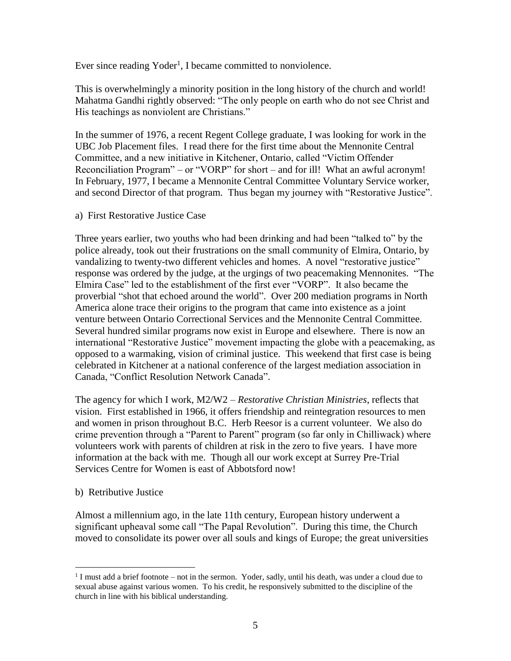Ever since reading Yoder<sup>1</sup>, I became committed to nonviolence.

This is overwhelmingly a minority position in the long history of the church and world! Mahatma Gandhi rightly observed: "The only people on earth who do not see Christ and His teachings as nonviolent are Christians."

In the summer of 1976, a recent Regent College graduate, I was looking for work in the UBC Job Placement files. I read there for the first time about the Mennonite Central Committee, and a new initiative in Kitchener, Ontario, called "Victim Offender Reconciliation Program" – or "VORP" for short – and for ill! What an awful acronym! In February, 1977, I became a Mennonite Central Committee Voluntary Service worker, and second Director of that program. Thus began my journey with "Restorative Justice".

a) First Restorative Justice Case

Three years earlier, two youths who had been drinking and had been "talked to" by the police already, took out their frustrations on the small community of Elmira, Ontario, by vandalizing to twenty-two different vehicles and homes. A novel "restorative justice" response was ordered by the judge, at the urgings of two peacemaking Mennonites. "The Elmira Case" led to the establishment of the first ever "VORP". It also became the proverbial "shot that echoed around the world". Over 200 mediation programs in North America alone trace their origins to the program that came into existence as a joint venture between Ontario Correctional Services and the Mennonite Central Committee. Several hundred similar programs now exist in Europe and elsewhere. There is now an international "Restorative Justice" movement impacting the globe with a peacemaking, as opposed to a warmaking, vision of criminal justice. This weekend that first case is being celebrated in Kitchener at a national conference of the largest mediation association in Canada, "Conflict Resolution Network Canada".

The agency for which I work, M2/W2 – *Restorative Christian Ministries*, reflects that vision. First established in 1966, it offers friendship and reintegration resources to men and women in prison throughout B.C. Herb Reesor is a current volunteer. We also do crime prevention through a "Parent to Parent" program (so far only in Chilliwack) where volunteers work with parents of children at risk in the zero to five years. I have more information at the back with me. Though all our work except at Surrey Pre-Trial Services Centre for Women is east of Abbotsford now!

# b) Retributive Justice

Almost a millennium ago, in the late 11th century, European history underwent a significant upheaval some call "The Papal Revolution". During this time, the Church moved to consolidate its power over all souls and kings of Europe; the great universities

 $\overline{a}$  $<sup>1</sup>$  I must add a brief footnote – not in the sermon. Yoder, sadly, until his death, was under a cloud due to</sup> sexual abuse against various women. To his credit, he responsively submitted to the discipline of the church in line with his biblical understanding.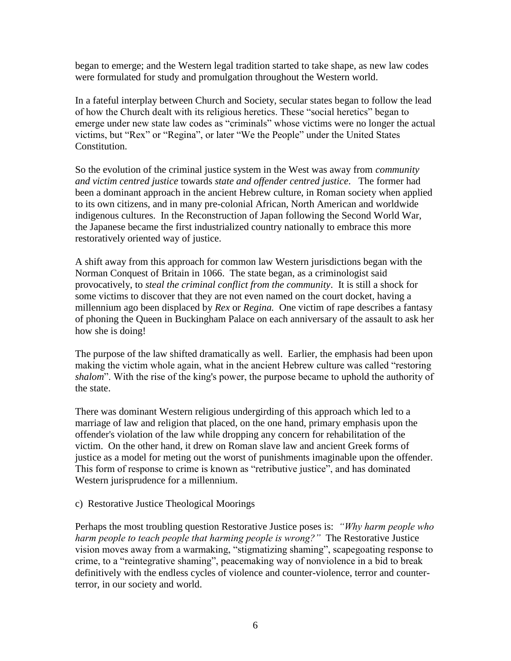began to emerge; and the Western legal tradition started to take shape, as new law codes were formulated for study and promulgation throughout the Western world.

In a fateful interplay between Church and Society, secular states began to follow the lead of how the Church dealt with its religious heretics. These "social heretics" began to emerge under new state law codes as "criminals" whose victims were no longer the actual victims, but "Rex" or "Regina", or later "We the People" under the United States Constitution.

So the evolution of the criminal justice system in the West was away from *community and victim centred justice* towards *state and offender centred justice*. The former had been a dominant approach in the ancient Hebrew culture, in Roman society when applied to its own citizens, and in many pre-colonial African, North American and worldwide indigenous cultures. In the Reconstruction of Japan following the Second World War, the Japanese became the first industrialized country nationally to embrace this more restoratively oriented way of justice.

A shift away from this approach for common law Western jurisdictions began with the Norman Conquest of Britain in 1066. The state began, as a criminologist said provocatively, to *steal the criminal conflict from the community*. It is still a shock for some victims to discover that they are not even named on the court docket, having a millennium ago been displaced by *Rex* or *Regina.* One victim of rape describes a fantasy of phoning the Queen in Buckingham Palace on each anniversary of the assault to ask her how she is doing!

The purpose of the law shifted dramatically as well. Earlier, the emphasis had been upon making the victim whole again, what in the ancient Hebrew culture was called "restoring *shalom*". With the rise of the king's power, the purpose became to uphold the authority of the state.

There was dominant Western religious undergirding of this approach which led to a marriage of law and religion that placed, on the one hand, primary emphasis upon the offender's violation of the law while dropping any concern for rehabilitation of the victim. On the other hand, it drew on Roman slave law and ancient Greek forms of justice as a model for meting out the worst of punishments imaginable upon the offender. This form of response to crime is known as "retributive justice", and has dominated Western jurisprudence for a millennium.

#### c) Restorative Justice Theological Moorings

Perhaps the most troubling question Restorative Justice poses is: *"Why harm people who harm people to teach people that harming people is wrong?"* The Restorative Justice vision moves away from a warmaking, "stigmatizing shaming", scapegoating response to crime, to a "reintegrative shaming", peacemaking way of nonviolence in a bid to break definitively with the endless cycles of violence and counter-violence, terror and counterterror, in our society and world.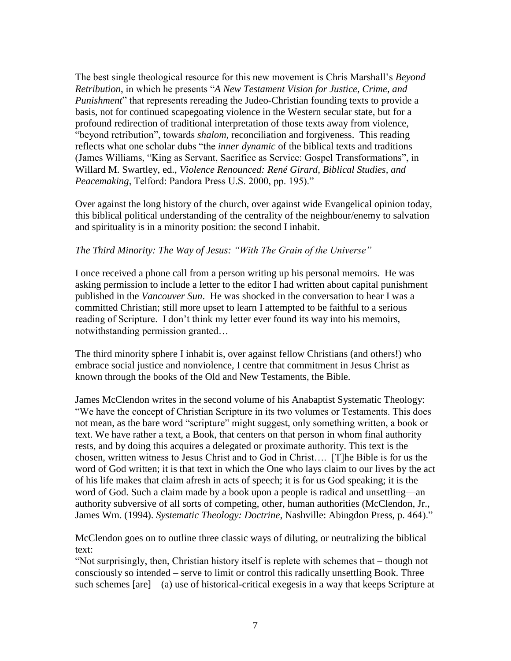The best single theological resource for this new movement is Chris Marshall's *Beyond Retribution*, in which he presents "*A New Testament Vision for Justice, Crime, and Punishment*" that represents rereading the Judeo-Christian founding texts to provide a basis, not for continued scapegoating violence in the Western secular state, but for a profound redirection of traditional interpretation of those texts away from violence, "beyond retribution", towards *shalom,* reconciliation and forgiveness. This reading reflects what one scholar dubs "the *inner dynamic* of the biblical texts and traditions (James Williams, "King as Servant, Sacrifice as Service: Gospel Transformations", in Willard M. Swartley, ed., *Violence Renounced: René Girard, Biblical Studies, and Peacemaking*, Telford: Pandora Press U.S. 2000, pp. 195)."

Over against the long history of the church, over against wide Evangelical opinion today, this biblical political understanding of the centrality of the neighbour/enemy to salvation and spirituality is in a minority position: the second I inhabit.

### *The Third Minority: The Way of Jesus: "With The Grain of the Universe"*

I once received a phone call from a person writing up his personal memoirs. He was asking permission to include a letter to the editor I had written about capital punishment published in the *Vancouver Sun*. He was shocked in the conversation to hear I was a committed Christian; still more upset to learn I attempted to be faithful to a serious reading of Scripture. I don't think my letter ever found its way into his memoirs, notwithstanding permission granted…

The third minority sphere I inhabit is, over against fellow Christians (and others!) who embrace social justice and nonviolence, I centre that commitment in Jesus Christ as known through the books of the Old and New Testaments, the Bible.

James McClendon writes in the second volume of his Anabaptist Systematic Theology: "We have the concept of Christian Scripture in its two volumes or Testaments. This does not mean, as the bare word "scripture" might suggest, only something written, a book or text. We have rather a text, a Book, that centers on that person in whom final authority rests, and by doing this acquires a delegated or proximate authority. This text is the chosen, written witness to Jesus Christ and to God in Christ…. [T]he Bible is for us the word of God written; it is that text in which the One who lays claim to our lives by the act of his life makes that claim afresh in acts of speech; it is for us God speaking; it is the word of God. Such a claim made by a book upon a people is radical and unsettling—an authority subversive of all sorts of competing, other, human authorities (McClendon, Jr., James Wm. (1994). *Systematic Theology: Doctrine*, Nashville: Abingdon Press, p. 464)."

McClendon goes on to outline three classic ways of diluting, or neutralizing the biblical text:

"Not surprisingly, then, Christian history itself is replete with schemes that – though not consciously so intended – serve to limit or control this radically unsettling Book. Three such schemes [are]—(a) use of historical-critical exegesis in a way that keeps Scripture at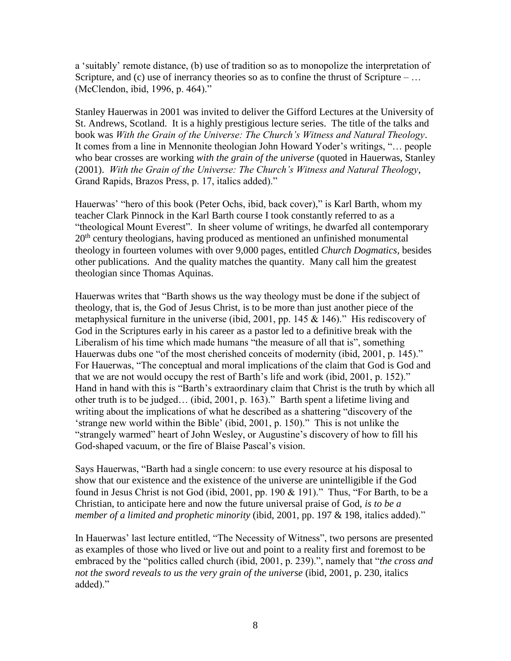a 'suitably' remote distance, (b) use of tradition so as to monopolize the interpretation of Scripture, and (c) use of inerrancy theories so as to confine the thrust of Scripture –  $\dots$ (McClendon, ibid, 1996, p. 464)."

Stanley Hauerwas in 2001 was invited to deliver the Gifford Lectures at the University of St. Andrews, Scotland. It is a highly prestigious lecture series. The title of the talks and book was *With the Grain of the Universe: The Church's Witness and Natural Theology*. It comes from a line in Mennonite theologian John Howard Yoder's writings, "… people who bear crosses are working *with the grain of the universe* (quoted in Hauerwas, Stanley (2001). *With the Grain of the Universe: The Church's Witness and Natural Theology*, Grand Rapids, Brazos Press, p. 17, italics added)."

Hauerwas' "hero of this book (Peter Ochs, ibid, back cover)," is Karl Barth, whom my teacher Clark Pinnock in the Karl Barth course I took constantly referred to as a "theological Mount Everest". In sheer volume of writings, he dwarfed all contemporary 20<sup>th</sup> century theologians, having produced as mentioned an unfinished monumental theology in fourteen volumes with over 9,000 pages, entitled *Church Dogmatics*, besides other publications. And the quality matches the quantity. Many call him the greatest theologian since Thomas Aquinas.

Hauerwas writes that "Barth shows us the way theology must be done if the subject of theology, that is, the God of Jesus Christ, is to be more than just another piece of the metaphysical furniture in the universe (ibid, 2001, pp. 145 & 146)." His rediscovery of God in the Scriptures early in his career as a pastor led to a definitive break with the Liberalism of his time which made humans "the measure of all that is", something Hauerwas dubs one "of the most cherished conceits of modernity (ibid, 2001, p. 145)." For Hauerwas, "The conceptual and moral implications of the claim that God is God and that we are not would occupy the rest of Barth's life and work (ibid, 2001, p. 152)." Hand in hand with this is "Barth's extraordinary claim that Christ is the truth by which all other truth is to be judged… (ibid, 2001, p. 163)." Barth spent a lifetime living and writing about the implications of what he described as a shattering "discovery of the 'strange new world within the Bible' (ibid, 2001, p. 150)." This is not unlike the "strangely warmed" heart of John Wesley, or Augustine's discovery of how to fill his God-shaped vacuum, or the fire of Blaise Pascal's vision.

Says Hauerwas, "Barth had a single concern: to use every resource at his disposal to show that our existence and the existence of the universe are unintelligible if the God found in Jesus Christ is not God (ibid, 2001, pp. 190 & 191)." Thus, "For Barth, to be a Christian, to anticipate here and now the future universal praise of God, *is to be a member of a limited and prophetic minority* (ibid, 2001, pp. 197 & 198, italics added)."

In Hauerwas' last lecture entitled, "The Necessity of Witness", two persons are presented as examples of those who lived or live out and point to a reality first and foremost to be embraced by the "politics called church (ibid, 2001, p. 239).", namely that "*the cross and not the sword reveals to us the very grain of the universe* (ibid, 2001, p. 230, italics added)."